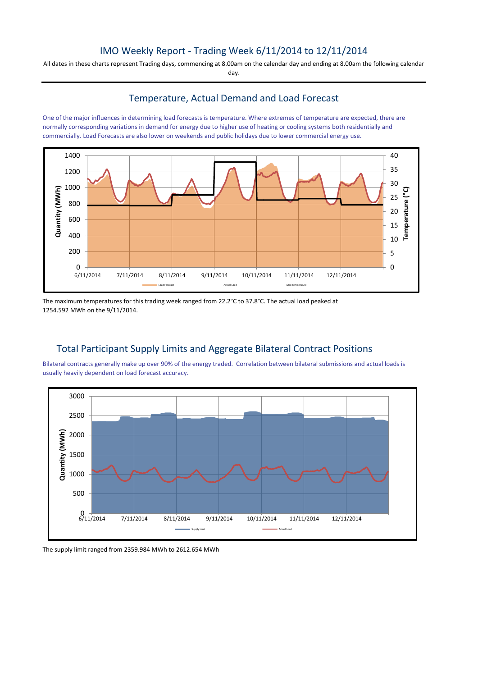## IMO Weekly Report - Trading Week 6/11/2014 to 12/11/2014

All dates in these charts represent Trading days, commencing at 8.00am on the calendar day and ending at 8.00am the following calendar day.

#### Temperature, Actual Demand and Load Forecast

One of the major influences in determining load forecasts is temperature. Where extremes of temperature are expected, there are normally corresponding variations in demand for energy due to higher use of heating or cooling systems both residentially and commercially. Load Forecasts are also lower on weekends and public holidays due to lower commercial energy use.



The maximum temperatures for this trading week ranged from 22.2°C to 37.8°C. The actual load peaked at 1254.592 MWh on the 9/11/2014.

## Total Participant Supply Limits and Aggregate Bilateral Contract Positions

Bilateral contracts generally make up over 90% of the energy traded. Correlation between bilateral submissions and actual loads is usually heavily dependent on load forecast accuracy.



The supply limit ranged from 2359.984 MWh to 2612.654 MWh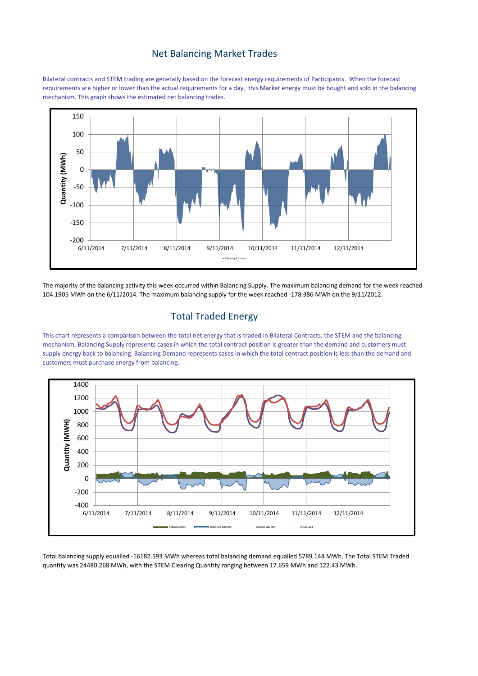#### Net Balancing Market Trades

Bilateral contracts and STEM trading are generally based on the forecast energy requirements of Participants. When the forecast requirements are higher or lower than the actual requirements for a day, this Market energy must be bought and sold in the balancing mechanism. This graph shows the estimated net balancing trades.



The majority of the balancing activity this week occurred within Balancing Supply. The maximum balancing demand for the week reached 104.1905 MWh on the 6/11/2014. The maximum balancing supply for the week reached -178.386 MWh on the 9/11/2012.

### Total Traded Energy

This chart represents a comparison between the total net energy that is traded in Bilateral Contracts, the STEM and the balancing mechanism. Balancing Supply represents cases in which the total contract position is greater than the demand and customers must supply energy back to balancing. Balancing Demand represents cases in which the total contract position is less than the demand and customers must purchase energy from balancing.



Total balancing supply equalled -16182.593 MWh whereas total balancing demand equalled 5789.144 MWh. The Total STEM Traded quantity was 24480.268 MWh, with the STEM Clearing Quantity ranging between 17.659 MWh and 122.43 MWh.